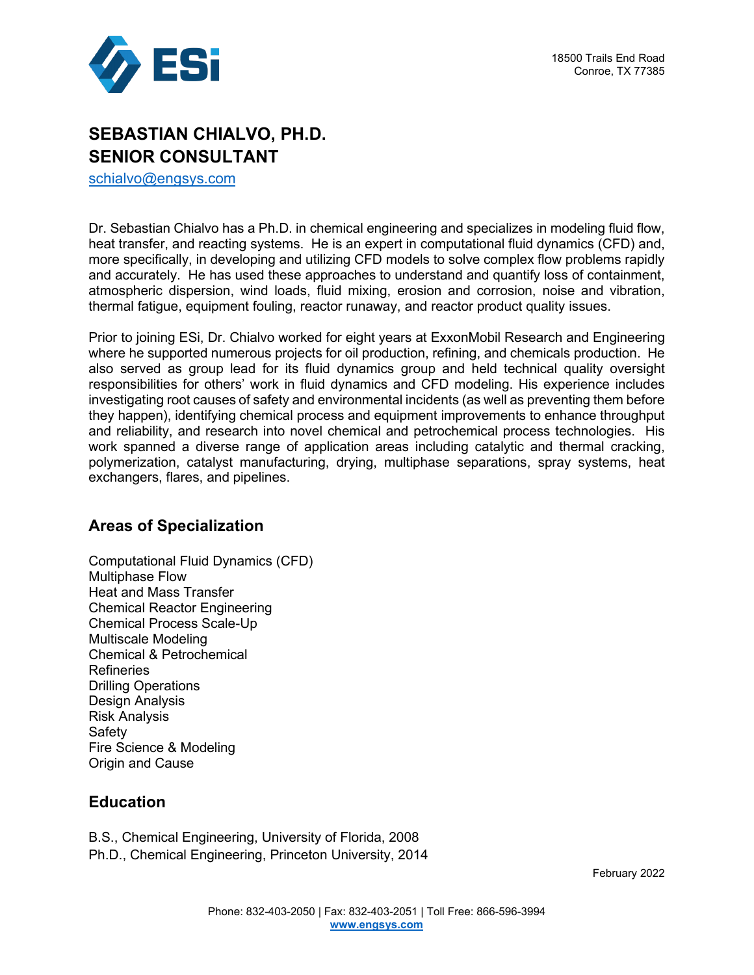



# **SEBASTIAN CHIALVO, PH.D. SENIOR CONSULTANT**

[schialvo@engsys.com](mailto:schialvo@engsys.com)

Dr. Sebastian Chialvo has a Ph.D. in chemical engineering and specializes in modeling fluid flow, heat transfer, and reacting systems. He is an expert in computational fluid dynamics (CFD) and, more specifically, in developing and utilizing CFD models to solve complex flow problems rapidly and accurately. He has used these approaches to understand and quantify loss of containment, atmospheric dispersion, wind loads, fluid mixing, erosion and corrosion, noise and vibration, thermal fatigue, equipment fouling, reactor runaway, and reactor product quality issues.

Prior to joining ESi, Dr. Chialvo worked for eight years at ExxonMobil Research and Engineering where he supported numerous projects for oil production, refining, and chemicals production. He also served as group lead for its fluid dynamics group and held technical quality oversight responsibilities for others' work in fluid dynamics and CFD modeling. His experience includes investigating root causes of safety and environmental incidents (as well as preventing them before they happen), identifying chemical process and equipment improvements to enhance throughput and reliability, and research into novel chemical and petrochemical process technologies. His work spanned a diverse range of application areas including catalytic and thermal cracking, polymerization, catalyst manufacturing, drying, multiphase separations, spray systems, heat exchangers, flares, and pipelines.

### **Areas of Specialization**

Computational Fluid Dynamics (CFD) Multiphase Flow Heat and Mass Transfer Chemical Reactor Engineering Chemical Process Scale-Up Multiscale Modeling Chemical & Petrochemical Refineries Drilling Operations Design Analysis Risk Analysis Safety Fire Science & Modeling Origin and Cause

### **Education**

B.S., Chemical Engineering, University of Florida, 2008 Ph.D., Chemical Engineering, Princeton University, 2014

February 2022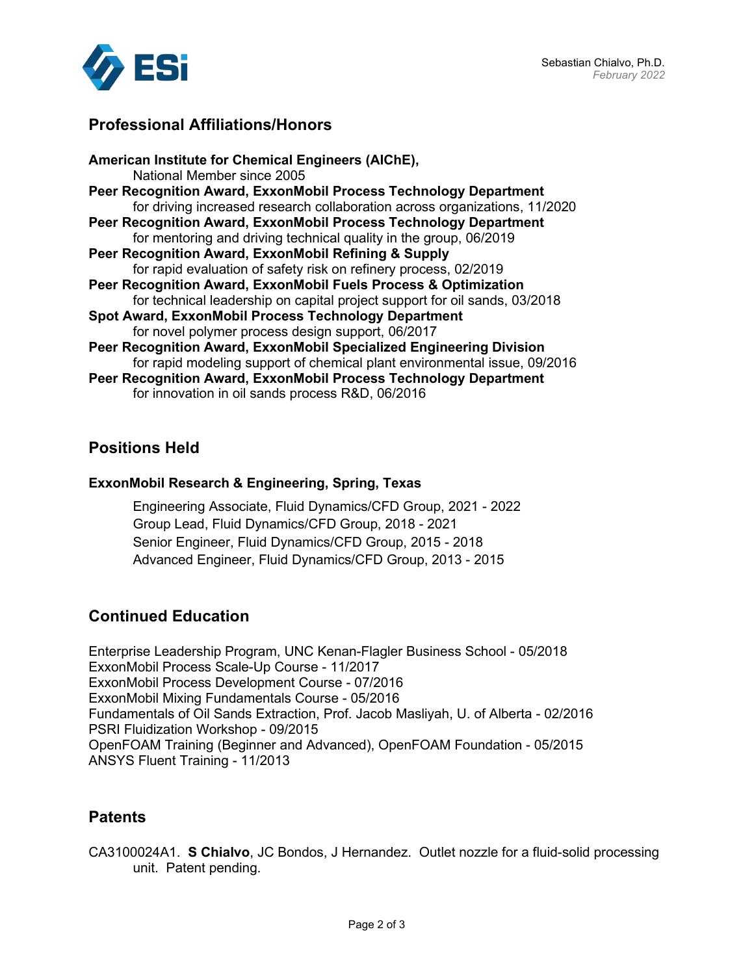

## **Professional Affiliations/Honors**

#### **Positions Held**

#### **ExxonMobil Research & Engineering, Spring, Texas**

Engineering Associate, Fluid Dynamics/CFD Group, 2021 - 2022 Group Lead, Fluid Dynamics/CFD Group, 2018 - 2021 Senior Engineer, Fluid Dynamics/CFD Group, 2015 - 2018 Advanced Engineer, Fluid Dynamics/CFD Group, 2013 - 2015

## **Continued Education**

Enterprise Leadership Program, UNC Kenan-Flagler Business School - 05/2018 ExxonMobil Process Scale-Up Course - 11/2017 ExxonMobil Process Development Course - 07/2016 ExxonMobil Mixing Fundamentals Course - 05/2016 Fundamentals of Oil Sands Extraction, Prof. Jacob Masliyah, U. of Alberta - 02/2016 PSRI Fluidization Workshop - 09/2015 OpenFOAM Training (Beginner and Advanced), OpenFOAM Foundation - 05/2015 ANSYS Fluent Training - 11/2013

### **Patents**

CA3100024A1. **S Chialvo**, JC Bondos, J Hernandez. Outlet nozzle for a fluid-solid processing unit. Patent pending.